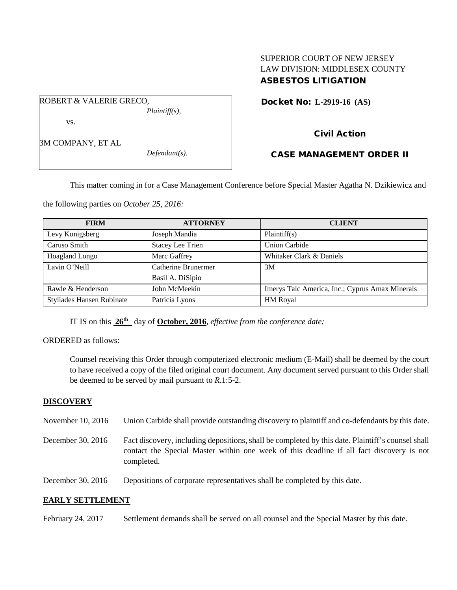## SUPERIOR COURT OF NEW JERSEY LAW DIVISION: MIDDLESEX COUNTY ASBESTOS LITIGATION

Docket No: **L-2919-16 (AS)** 

3M COMPANY, ET AL

vs.

ROBERT & VALERIE GRECO,

*Defendant(s).*

*Plaintiff(s),*

# CASE MANAGEMENT ORDER II

Civil Action

This matter coming in for a Case Management Conference before Special Master Agatha N. Dzikiewicz and

the following parties on *October 25, 2016:*

| <b>FIRM</b>                      | <b>ATTORNEY</b>         | <b>CLIENT</b>                                   |
|----------------------------------|-------------------------|-------------------------------------------------|
| Levy Konigsberg                  | Joseph Mandia           | Plaintiff(s)                                    |
| Caruso Smith                     | <b>Stacey Lee Trien</b> | <b>Union Carbide</b>                            |
| Hoagland Longo                   | Marc Gaffrey            | Whitaker Clark & Daniels                        |
| Lavin O'Neill                    | Catherine Brunermer     | 3M                                              |
|                                  | Basil A. DiSipio        |                                                 |
| Rawle & Henderson                | John McMeekin           | Imerys Talc America, Inc.; Cyprus Amax Minerals |
| <b>Styliades Hansen Rubinate</b> | Patricia Lyons          | <b>HM</b> Royal                                 |

IT IS on this **26th** day of **October, 2016**, *effective from the conference date;*

ORDERED as follows:

Counsel receiving this Order through computerized electronic medium (E-Mail) shall be deemed by the court to have received a copy of the filed original court document. Any document served pursuant to this Order shall be deemed to be served by mail pursuant to *R*.1:5-2.

## **DISCOVERY**

November 10, 2016 Union Carbide shall provide outstanding discovery to plaintiff and co-defendants by this date.

December 30, 2016 Fact discovery, including depositions, shall be completed by this date. Plaintiff's counsel shall contact the Special Master within one week of this deadline if all fact discovery is not completed.

December 30, 2016 Depositions of corporate representatives shall be completed by this date.

#### **EARLY SETTLEMENT**

February 24, 2017 Settlement demands shall be served on all counsel and the Special Master by this date.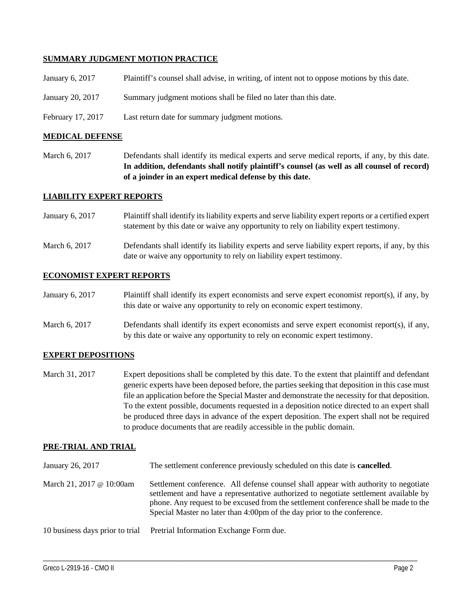### **SUMMARY JUDGMENT MOTION PRACTICE**

| January 6, 2017  | Plaintiff's counsel shall advise, in writing, of intent not to oppose motions by this date. |
|------------------|---------------------------------------------------------------------------------------------|
| January 20, 2017 | Summary judgment motions shall be filed no later than this date.                            |

February 17, 2017 Last return date for summary judgment motions.

#### **MEDICAL DEFENSE**

March 6, 2017 Defendants shall identify its medical experts and serve medical reports, if any, by this date. **In addition, defendants shall notify plaintiff's counsel (as well as all counsel of record) of a joinder in an expert medical defense by this date.**

### **LIABILITY EXPERT REPORTS**

- January 6, 2017 Plaintiff shall identify its liability experts and serve liability expert reports or a certified expert statement by this date or waive any opportunity to rely on liability expert testimony.
- March 6, 2017 Defendants shall identify its liability experts and serve liability expert reports, if any, by this date or waive any opportunity to rely on liability expert testimony.

#### **ECONOMIST EXPERT REPORTS**

| January 6, 2017 | Plaintiff shall identify its expert economists and serve expert economist report(s), if any, by |  |  |  |
|-----------------|-------------------------------------------------------------------------------------------------|--|--|--|
|                 | this date or waive any opportunity to rely on economic expert testimony.                        |  |  |  |
| _ _ _ _ _ _ _ _ | _ _ _ _ _ _ _ _ _ _ _ _ _                                                                       |  |  |  |

March 6, 2017 Defendants shall identify its expert economists and serve expert economist report(s), if any, by this date or waive any opportunity to rely on economic expert testimony.

#### **EXPERT DEPOSITIONS**

March 31, 2017 Expert depositions shall be completed by this date. To the extent that plaintiff and defendant generic experts have been deposed before, the parties seeking that deposition in this case must file an application before the Special Master and demonstrate the necessity for that deposition. To the extent possible, documents requested in a deposition notice directed to an expert shall be produced three days in advance of the expert deposition. The expert shall not be required to produce documents that are readily accessible in the public domain.

## **PRE-TRIAL AND TRIAL**

| January 26, 2017                | The settlement conference previously scheduled on this date is <b>cancelled</b> .                                                                                                                                                                                                                                                              |
|---------------------------------|------------------------------------------------------------------------------------------------------------------------------------------------------------------------------------------------------------------------------------------------------------------------------------------------------------------------------------------------|
| March 21, 2017 @ 10:00am        | Settlement conference. All defense counsel shall appear with authority to negotiate<br>settlement and have a representative authorized to negotiate settlement available by<br>phone. Any request to be excused from the settlement conference shall be made to the<br>Special Master no later than 4:00pm of the day prior to the conference. |
| 10 business days prior to trial | Pretrial Information Exchange Form due.                                                                                                                                                                                                                                                                                                        |

\_\_\_\_\_\_\_\_\_\_\_\_\_\_\_\_\_\_\_\_\_\_\_\_\_\_\_\_\_\_\_\_\_\_\_\_\_\_\_\_\_\_\_\_\_\_\_\_\_\_\_\_\_\_\_\_\_\_\_\_\_\_\_\_\_\_\_\_\_\_\_\_\_\_\_\_\_\_\_\_\_\_\_\_\_\_\_\_\_\_\_\_\_\_\_\_\_\_\_\_\_\_\_\_\_\_\_\_\_\_